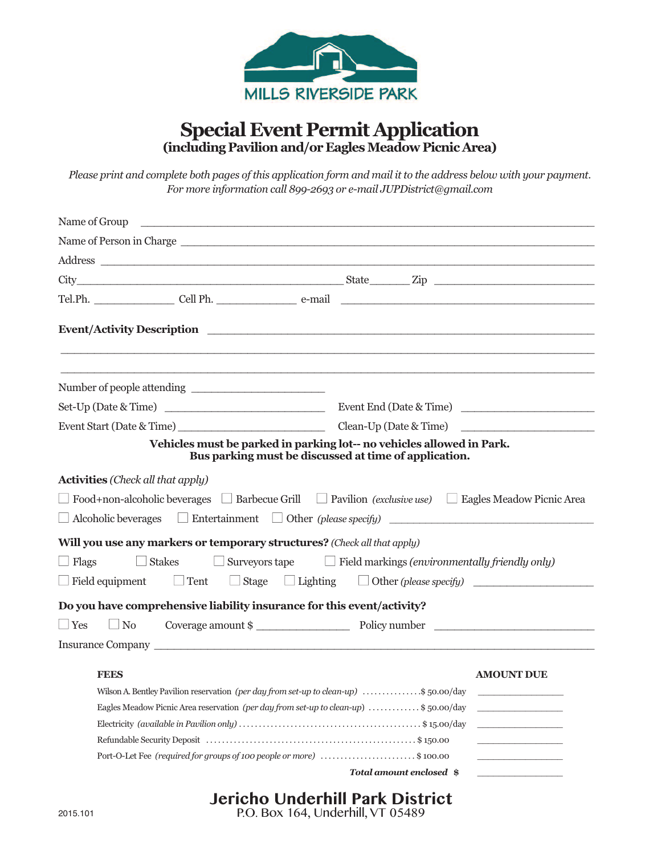

## **Special Event Permit Application (including Pavilionand/or EaglesMeadow Picnic Area)**

Please print and complete both pages of this application form and mail it to the address below with your payment. *For more information call 899-2693 or e-mail JUPDistrict@gmail.com*

| Name of Group <u>contract the contract of the set of the set of the set of the set of the set of the set of the set of the set of the set of the set of the set of the set of the set of the set of the set of the set of the se</u> |                           |
|--------------------------------------------------------------------------------------------------------------------------------------------------------------------------------------------------------------------------------------|---------------------------|
|                                                                                                                                                                                                                                      |                           |
| Address and the contract of the contract of the contract of the contract of the contract of the contract of the contract of the contract of the contract of the contract of the contract of the contract of the contract of th       |                           |
|                                                                                                                                                                                                                                      |                           |
|                                                                                                                                                                                                                                      |                           |
|                                                                                                                                                                                                                                      |                           |
|                                                                                                                                                                                                                                      |                           |
|                                                                                                                                                                                                                                      |                           |
|                                                                                                                                                                                                                                      |                           |
|                                                                                                                                                                                                                                      |                           |
| Vehicles must be parked in parking lot-- no vehicles allowed in Park.<br>Bus parking must be discussed at time of application.                                                                                                       |                           |
| <b>Activities</b> (Check all that apply)                                                                                                                                                                                             |                           |
| $\Box$ Food+non-alcoholic beverages $\Box$ Barbecue Grill $\Box$ Pavilion <i>(exclusive use)</i> $\Box$ Eagles Meadow Picnic Area                                                                                                    |                           |
| $\Box$ Alcoholic beverages $\Box$ Entertainment $\Box$ Other (please specify) $\Box$                                                                                                                                                 |                           |
| Will you use any markers or temporary structures? (Check all that apply)                                                                                                                                                             |                           |
| $\Box$ Flags<br>$\Box$ Stakes $\Box$ Surveyors tape $\Box$ Field markings (environmentally friendly only)                                                                                                                            |                           |
| $\Box$ Field equipment $\Box$ Tent $\Box$ Stage $\Box$ Lighting $\Box$ Other (please specify) $\Box$                                                                                                                                 |                           |
| Do you have comprehensive liability insurance for this event/activity?                                                                                                                                                               |                           |
| $\Box$ Yes                                                                                                                                                                                                                           |                           |
| $\Box$ No                                                                                                                                                                                                                            | Coverage amount \$        |
|                                                                                                                                                                                                                                      |                           |
| <b>FEES</b>                                                                                                                                                                                                                          | <b>AMOUNT DUE</b>         |
| Wilson A. Bentley Pavilion reservation (per day from set-up to clean-up) \$50.00/day                                                                                                                                                 |                           |
| Eagles Meadow Picnic Area reservation (per day from set-up to clean-up) \$50.00/day                                                                                                                                                  |                           |
|                                                                                                                                                                                                                                      |                           |
|                                                                                                                                                                                                                                      |                           |
| Port-O-Let Fee (required for groups of 100 people or more) \$100.00                                                                                                                                                                  |                           |
|                                                                                                                                                                                                                                      | Total amount enclosed \\$ |

## **Jericho Underhill Park District**